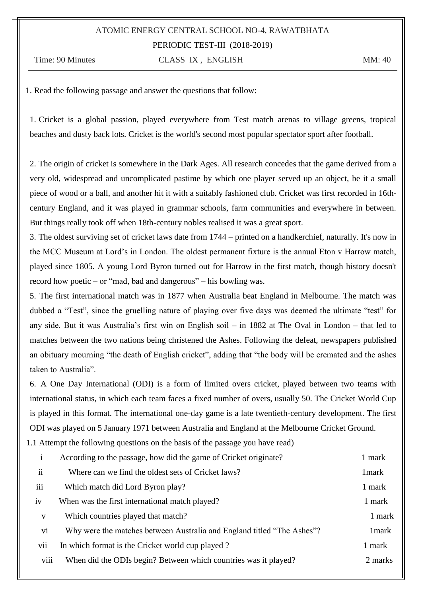### ATOMIC ENERGY CENTRAL SCHOOL NO-4, RAWATBHATA PERIODIC TEST-III (2018-2019)

Time: 90 Minutes CLASS IX, ENGLISH MM: 40

1. Read the following passage and answer the questions that follow:

1. Cricket is a global passion, played everywhere from Test match arenas to village greens, tropical beaches and dusty back lots. Cricket is the world's second most popular spectator sport after football.

2. The origin of cricket is somewhere in the Dark Ages. All research concedes that the game derived from a very old, widespread and uncomplicated pastime by which one player served up an object, be it a small piece of wood or a ball, and another hit it with a suitably fashioned club. Cricket was first recorded in 16thcentury England, and it was played in grammar schools, farm communities and everywhere in between. But things really took off when 18th-century nobles realised it was a great sport.

3. The oldest surviving set of cricket laws date from 1744 – printed on a handkerchief, naturally. It's now in the MCC Museum at Lord's in London. The oldest permanent fixture is the annual Eton v Harrow match, played since 1805. A young Lord Byron turned out for Harrow in the first match, though history doesn't record how poetic – or "mad, bad and dangerous" – his bowling was.

5. The first international match was in 1877 when Australia beat England in Melbourne. The match was dubbed a "Test", since the gruelling nature of playing over five days was deemed the ultimate "test" for any side. But it was Australia's first win on English soil – in 1882 at The Oval in London – that led to matches between the two nations being christened the Ashes. Following the defeat, newspapers published an obituary mourning "the death of English cricket", adding that "the body will be cremated and the ashes taken to Australia".

6. A One Day International (ODI) is a form of limited overs cricket, played between two teams with international status, in which each team faces a fixed number of overs, usually 50. The Cricket World Cup is played in this format. The international one-day game is a late twentieth-century development. The first ODI was played on 5 January 1971 between Australia and England at the Melbourne Cricket Ground.

1.1 Attempt the following questions on the basis of the passage you have read)

|               | $\mathbf{1}$ | According to the passage, how did the game of Cricket originate?       | 1 mark  |
|---------------|--------------|------------------------------------------------------------------------|---------|
| $\mathbf{ii}$ |              | Where can we find the oldest sets of Cricket laws?                     | 1 mark  |
| iii           |              | Which match did Lord Byron play?                                       | 1 mark  |
| iv            |              | When was the first international match played?                         | 1 mark  |
|               | V            | Which countries played that match?                                     | 1 mark  |
|               | vi           | Why were the matches between Australia and England titled "The Ashes"? | 1 mark  |
|               | vii          | In which format is the Cricket world cup played?                       | 1 mark  |
|               | viii         | When did the ODIs begin? Between which countries was it played?        | 2 marks |
|               |              |                                                                        |         |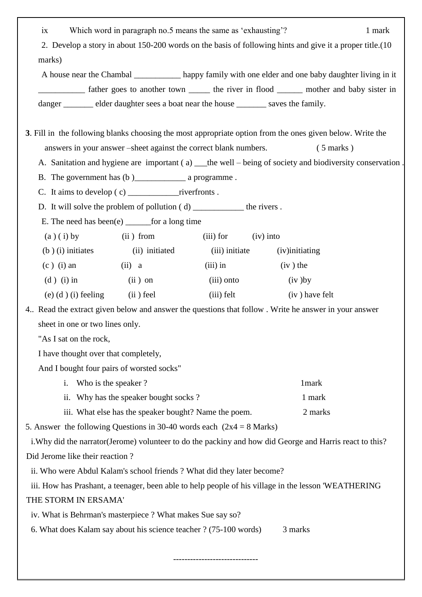| ix                                                                                                       | Which word in paragraph no.5 means the same as 'exhausting'?                          |                |                                                                                                           | 1 mark |
|----------------------------------------------------------------------------------------------------------|---------------------------------------------------------------------------------------|----------------|-----------------------------------------------------------------------------------------------------------|--------|
| 2. Develop a story in about 150-200 words on the basis of following hints and give it a proper title.(10 |                                                                                       |                |                                                                                                           |        |
| marks)                                                                                                   |                                                                                       |                |                                                                                                           |        |
|                                                                                                          |                                                                                       |                | A house near the Chambal _____________ happy family with one elder and one baby daughter living in it     |        |
|                                                                                                          |                                                                                       |                | father goes to another town _______ the river in flood ________ mother and baby sister in                 |        |
|                                                                                                          | danger _________ elder daughter sees a boat near the house ________ saves the family. |                |                                                                                                           |        |
|                                                                                                          |                                                                                       |                |                                                                                                           |        |
|                                                                                                          |                                                                                       |                | 3. Fill in the following blanks choosing the most appropriate option from the ones given below. Write the |        |
|                                                                                                          | answers in your answer – sheet against the correct blank numbers.                     |                | $(5 \text{ marks})$                                                                                       |        |
|                                                                                                          |                                                                                       |                | A. Sanitation and hygiene are important (a) __the well – being of society and biodiversity conservation   |        |
|                                                                                                          |                                                                                       |                |                                                                                                           |        |
|                                                                                                          |                                                                                       |                |                                                                                                           |        |
|                                                                                                          | D. It will solve the problem of pollution $(d)$ ___________________ the rivers.       |                |                                                                                                           |        |
|                                                                                                          | E. The need has been(e) $\_\_\_\_$ for a long time                                    |                |                                                                                                           |        |
| $(a)(i)$ by                                                                                              | (ii) from                                                                             | $(iii)$ for    | $(iv)$ into                                                                                               |        |
| $(b)$ (i) initiates                                                                                      | (ii) initiated                                                                        | (iii) initiate | (iv) initiating                                                                                           |        |
| $(c)$ (i) an                                                                                             | (ii) a                                                                                | $(iii)$ in     | $(iv)$ the                                                                                                |        |
| $(d)$ (i) in                                                                                             | $(ii)$ on                                                                             | (iii) onto     | $(iv)$ by                                                                                                 |        |
| $(e)$ (d) (i) feeling                                                                                    | (ii) feel                                                                             | $(iii)$ felt   | (iv) have felt                                                                                            |        |
|                                                                                                          |                                                                                       |                | 4. Read the extract given below and answer the questions that follow. Write he answer in your answer      |        |
| sheet in one or two lines only.                                                                          |                                                                                       |                |                                                                                                           |        |
| "As I sat on the rock,                                                                                   |                                                                                       |                |                                                                                                           |        |
| I have thought over that completely,                                                                     |                                                                                       |                |                                                                                                           |        |
|                                                                                                          | And I bought four pairs of worsted socks"                                             |                |                                                                                                           |        |
| i.                                                                                                       | Who is the speaker?                                                                   |                | 1mark                                                                                                     |        |
|                                                                                                          | ii. Why has the speaker bought socks?                                                 |                | 1 mark                                                                                                    |        |
|                                                                                                          | iii. What else has the speaker bought? Name the poem.                                 |                | 2 marks                                                                                                   |        |
| 5. Answer the following Questions in 30-40 words each $(2x4 = 8 \text{ Marks})$                          |                                                                                       |                |                                                                                                           |        |
|                                                                                                          |                                                                                       |                | i. Why did the narrator (Jerome) volunteer to do the packiny and how did George and Harris react to this? |        |
| Did Jerome like their reaction?                                                                          |                                                                                       |                |                                                                                                           |        |
| ii. Who were Abdul Kalam's school friends ? What did they later become?                                  |                                                                                       |                |                                                                                                           |        |
| iii. How has Prashant, a teenager, been able to help people of his village in the lesson 'WEATHERING     |                                                                                       |                |                                                                                                           |        |
| THE STORM IN ERSAMA'                                                                                     |                                                                                       |                |                                                                                                           |        |
| iv. What is Behrman's masterpiece? What makes Sue say so?                                                |                                                                                       |                |                                                                                                           |        |
|                                                                                                          | 6. What does Kalam say about his science teacher ? (75-100 words)                     |                | 3 marks                                                                                                   |        |
|                                                                                                          |                                                                                       |                |                                                                                                           |        |

------------------------------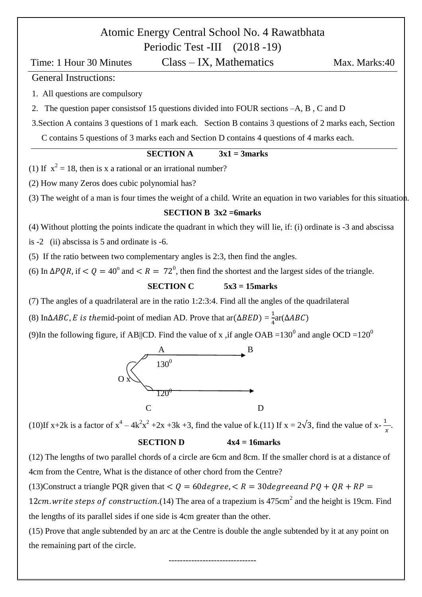# Atomic Energy Central School No. 4 Rawatbhata

Periodic Test -III (2018 -19) Time: 1 Hour 30 Minutes Class – IX, Mathematics Max. Marks: 40 General Instructions: 1. All questions are compulsory 2. The question paper consistsof 15 questions divided into FOUR sections –A, B , C and D 3.Section A contains 3 questions of 1 mark each. Section B contains 3 questions of 2 marks each, Section C contains 5 questions of 3 marks each and Section D contains 4 questions of 4 marks each. **SECTION A**  $3x1 = 3$  marks (1) If  $x^2 = 18$ , then is x a rational or an irrational number? (2) How many Zeros does cubic polynomial has? (3) The weight of a man is four times the weight of a child. Write an equation in two variables for this situation. **SECTION B 3x2 =6marks** (4) Without plotting the points indicate the quadrant in which they will lie, if: (i) ordinate is -3 and abscissa is -2 (ii) abscissa is 5 and ordinate is -6. (5) If the ratio between two complementary angles is 2:3, then find the angles. (6) In  $\Delta PQR$ , if  $\langle Q = 40^{\circ}$  and  $\langle R = 72^{\circ}$ , then find the shortest and the largest sides of the triangle. **SECTION C 5x3 = 15marks** (7) The angles of a quadrilateral are in the ratio 1:2:3:4. Find all the angles of the quadrilateral (8) In $\triangle ABC$ , E is the mid-point of median AD. Prove that ar $(\triangle BED) = \frac{1}{4}$  $\frac{1}{4}$ ar( $\Delta$ (9)In the following figure, if AB||CD. Find the value of x, if angle OAB =130<sup>0</sup> and angle OCD =120<sup>0</sup> A B  $\sim$  130<sup>0</sup>  $\overline{O} \times$  $\rightarrow$   $\frac{120^9}{120^9}$  C D (10)If x+2k is a factor of  $x^4 - 4k^2x^2 + 2x +3k +3$ , find the value of k.(11) If  $x = 2\sqrt{3}$ , find the value of  $x - \frac{1}{2}$  $\frac{1}{x}$ **SECTION D**  $4x4 = 16$  marks (12) The lengths of two parallel chords of a circle are 6cm and 8cm. If the smaller chord is at a distance of 4cm from the Centre, What is the distance of other chord from the Centre? (13)Construct a triangle PQR given that  $Q = 60 \text{ degree}, R = 30 \text{ degree}$   $PQ + QR + RP =$ 12cm. write steps of construction. (14) The area of a trapezium is  $475 \text{cm}^2$  and the height is 19cm. Find the lengths of its parallel sides if one side is 4cm greater than the other.

(15) Prove that angle subtended by an arc at the Centre is double the angle subtended by it at any point on the remaining part of the circle.

-------------------------------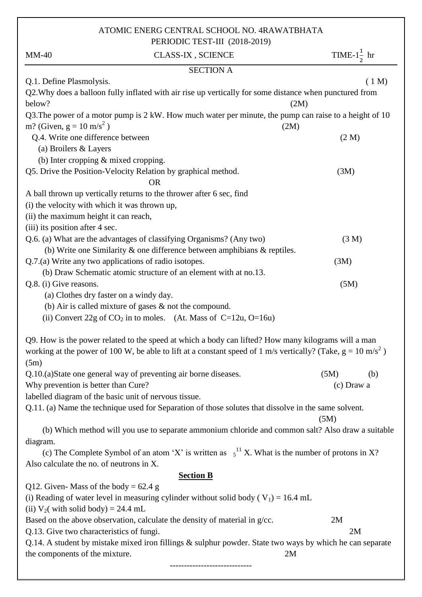## ATOMIC ENERG CENTRAL SCHOOL NO. 4RAWATBHATA

|                                                       | PERIODIC TEST-III (2018-2019)                                                                                           |                         |
|-------------------------------------------------------|-------------------------------------------------------------------------------------------------------------------------|-------------------------|
| $MM-40$                                               | <b>CLASS-IX, SCIENCE</b>                                                                                                | TIME- $1\frac{1}{2}$ hr |
|                                                       | <b>SECTION A</b>                                                                                                        |                         |
| Q.1. Define Plasmolysis.                              |                                                                                                                         | (1 M)                   |
| below?                                                | Q2. Why does a balloon fully inflated with air rise up vertically for some distance when punctured from                 | (2M)                    |
|                                                       | Q3. The power of a motor pump is 2 kW. How much water per minute, the pump can raise to a height of 10                  |                         |
| m? (Given, $g = 10$ m/s <sup>2</sup> )                | (2M)                                                                                                                    |                         |
| Q.4. Write one difference between                     |                                                                                                                         | (2 M)                   |
| (a) Broilers & Layers                                 |                                                                                                                         |                         |
| (b) Inter cropping $&$ mixed cropping.                |                                                                                                                         |                         |
|                                                       | Q5. Drive the Position-Velocity Relation by graphical method.<br><b>OR</b>                                              | (3M)                    |
|                                                       | A ball thrown up vertically returns to the thrower after 6 sec, find                                                    |                         |
| (i) the velocity with which it was thrown up,         |                                                                                                                         |                         |
| (ii) the maximum height it can reach,                 |                                                                                                                         |                         |
| (iii) its position after 4 sec.                       |                                                                                                                         |                         |
|                                                       | Q.6. (a) What are the advantages of classifying Organisms? (Any two)                                                    | (3 M)                   |
|                                                       | (b) Write one Similarity $\&$ one difference between amphibians $\&$ reptiles.                                          |                         |
| Q.7.(a) Write any two applications of radio isotopes. |                                                                                                                         | (3M)                    |
|                                                       | (b) Draw Schematic atomic structure of an element with at no.13.                                                        |                         |
| Q.8. (i) Give reasons.                                |                                                                                                                         | (5M)                    |
| (a) Clothes dry faster on a windy day.                |                                                                                                                         |                         |
|                                                       | (b) Air is called mixture of gases $\&$ not the compound.                                                               |                         |
|                                                       | (ii) Convert 22g of $CO_2$ in to moles. (At. Mass of C=12u, O=16u)                                                      |                         |
|                                                       | Q9. How is the power related to the speed at which a body can lifted? How many kilograms will a man                     |                         |
|                                                       | working at the power of 100 W, be able to lift at a constant speed of 1 m/s vertically? (Take, $g = 10 \text{ m/s}^2$ ) |                         |
| (5m)                                                  |                                                                                                                         |                         |
|                                                       | Q.10.(a)State one general way of preventing air borne diseases.                                                         | (5M)<br>(b)             |
| Why prevention is better than Cure?                   |                                                                                                                         | (c) Draw a              |
| labelled diagram of the basic unit of nervous tissue. |                                                                                                                         |                         |
|                                                       | Q.11. (a) Name the technique used for Separation of those solutes that dissolve in the same solvent.                    | (5M)                    |
|                                                       | (b) Which method will you use to separate ammonium chloride and common salt? Also draw a suitable                       |                         |
| diagram.                                              |                                                                                                                         |                         |
|                                                       | (c) The Complete Symbol of an atom 'X' is written as $5^{11}$ X. What is the number of protons in X?                    |                         |
| Also calculate the no. of neutrons in X.              |                                                                                                                         |                         |
|                                                       | <b>Section B</b>                                                                                                        |                         |
| Q12. Given-Mass of the body = $62.4$ g                |                                                                                                                         |                         |
|                                                       | (i) Reading of water level in measuring cylinder without solid body ( $V_1$ ) = 16.4 mL                                 |                         |
| (ii) $V_2$ ( with solid body) = 24.4 mL               |                                                                                                                         |                         |
|                                                       | Based on the above observation, calculate the density of material in $g$ /cc.                                           | 2M                      |
| Q.13. Give two characteristics of fungi.              |                                                                                                                         | 2M                      |
| the components of the mixture.                        | Q.14. A student by mistake mixed iron fillings & sulphur powder. State two ways by which he can separate<br>2M          |                         |
|                                                       |                                                                                                                         |                         |
|                                                       |                                                                                                                         |                         |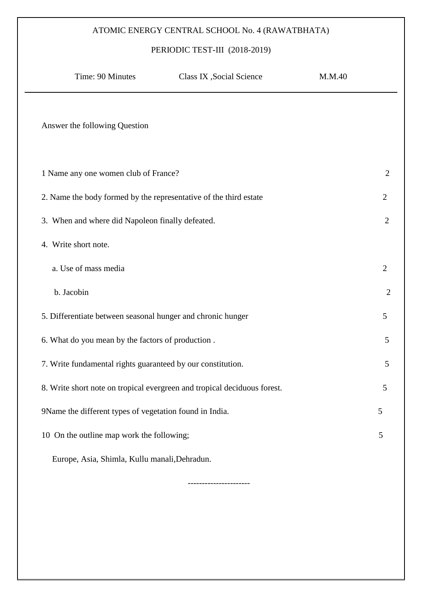### ATOMIC ENERGY CENTRAL SCHOOL No. 4 (RAWATBHATA)

#### PERIODIC TEST-III (2018-2019)

| Time: 90 Minutes                                                  | Class IX , Social Science                                                | M.M.40 |                |
|-------------------------------------------------------------------|--------------------------------------------------------------------------|--------|----------------|
| Answer the following Question                                     |                                                                          |        |                |
| 1 Name any one women club of France?                              |                                                                          |        | $\overline{2}$ |
| 2. Name the body formed by the representative of the third estate |                                                                          |        | 2              |
| 3. When and where did Napoleon finally defeated.                  |                                                                          |        | 2              |
| 4. Write short note.                                              |                                                                          |        |                |
| a. Use of mass media                                              |                                                                          |        | $\overline{2}$ |
| b. Jacobin                                                        |                                                                          |        | $\overline{2}$ |
| 5. Differentiate between seasonal hunger and chronic hunger       |                                                                          |        | 5              |
| 6. What do you mean by the factors of production.                 |                                                                          |        | 5              |
| 7. Write fundamental rights guaranteed by our constitution.       |                                                                          |        | 5              |
|                                                                   | 8. Write short note on tropical evergreen and tropical deciduous forest. |        | 5              |
| 9Name the different types of vegetation found in India.           |                                                                          |        | 5              |
| 10 On the outline map work the following;                         |                                                                          |        | 5              |
| Europe, Asia, Shimla, Kullu manali, Dehradun.                     |                                                                          |        |                |

----------------------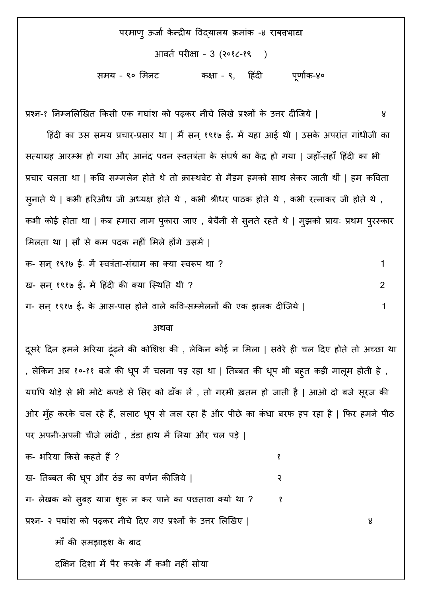| परमाण् ऊर्जा केन्द्रीय विद्यालय क्रमांक -४ रावतभाटा |                              |             |
|-----------------------------------------------------|------------------------------|-------------|
|                                                     | आवर्त परीक्षा - 3 (२०१८-१९ ) |             |
| समय - ९० मिनट                                       | कक्षा - ९, हिंदी             | पूर्णांक-४० |

प्रश्न-१ निम्नलिखित किसी एक गघांश को पढकर नीचे लिखे प्रश्नों के उत्तर दीजिये | ४ हिंदी का उस समय प्रचार-प्रसार था | मैं सन् १९१७ ई॰ में यहा आई थी | उसके अपरांत गांधीजी का सत्याग्रह आरम्भ हो गया और आनंद पवन स्वतंत्रता के संघर्ष का केंद्र हो गया | जहाँ-तहाँ हिंदी का भी प्रचार चलता था | कवि सम्मलेन होते थे तो क्रास्थवेट से मैडम हमको साथ लेकर जाती थीं | हम कविता सूनाते थे | कभी हरिऔध जी अध्यक्ष होते थे , कभी श्रीधर पाठक होते थे , कभी रत्नाकर जी होते थे , कभी कोई होता था | कब हमारा नाम पुकारा जाए , बेचैनी से सुनते रहते थे | मुझको प्रायः प्रथम पुरस्कार मिलता था | सौ से कम पदक नहीं मिले होंगे उसमें |

क- सन्१९१७ ई॰ में वतिरंतांर्ा-सांग्रह ाम का क्या वतिरूप था ? 1 ि- सन्१९१७ ई॰ में ह ांदी की क्या जवतथनर् थी ? 2 ग- सन्१९१७ ई॰ के आस-पास ोने िाले कवि-सम्मेलनों की एक झलक दीजर्ये | 1

#### स्त्रीय संस्थापित स्त्रीय संस्थापित स्त्रीय संस्थापित स्त्रीय स्त्रीय स्त्रीय स्त्रीय स्त्रीय स्त्रीय स्त्रीय

दूसरे दिन हमने भरिया ढ़ंढ़ने की कोशिश की , लेकिन कोई न मिला | सवेरे ही चल दिए होते तो अच्छा था , लेकिन अब १०-११ बजे की धूप में चलना पड़ रहा था | तिब्बत की धूप भी बह़त कड़ी मालूम होती हे , यघपि थोड़े से भी मोटे कपडे से सिर को ढाँक लें , तो गरमी ख़तम हो जाती है | आओ दो बजे सूरज की ओर मुँह करके चल रहे हैं, ललाट धूप से जल रहा है और पीछे का कंधा बरफ हप रहा है | फिर हमने पीठ पर अपनी-अपनी चीज़े लांदी , डंडा हाथ में लिया और चल पड़े |

क- भरिया किसे कहते हैं ? १९९९ के राजधान कर पर १९९९ के राजधान कर राजधान कर राजधान कर राजधान कर राजधान कर राजधान

ख- तिब्बत की धृप और ठंड का वर्णन कीजिये |

ग- लेखक को सुबह यात्रा शुरू न कर पाने का पछतावा क्यों था ? । १

प्रश्न- २ पघाांश को पढ़कर नीचे हदए गए प्रश्नों के उत्तर मलखिए | ४

मााँ की समझाइश के बाद

दक्षिन दिशा में पैर करके मैं कभी नहीं सोया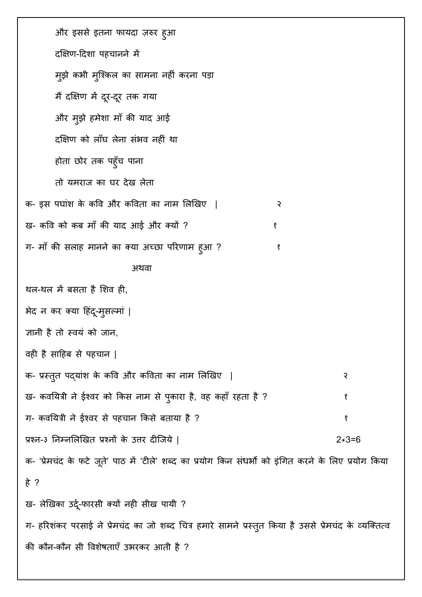और इससे इतना फायदा ज़रुर ह्आ दक्षिण-दिशा पहचानने में मुझे कभी मुश्किल का सामना नहीं करना पड़ा मैंदक्षक्षण में दरू-दरू र्क गया और मुझे हमेशा माँ की याद आई दक्षिण को लाँघ लेना संभव नहीं था होता छोर तक पहुँच पाना तो यमराज का घर देख लेता क- इस पघांश के कवि और कविता का नाम लिखिए | २ ख- कवि को कब माँ की याद आई और क्यों ? ग- माँ की सलाह मानने का क्या अच्छा परिणाम हुआ ? १ १ १ १ अथवा थल-थल में बसता है शिव ही, भेद न कर क्या हिंदू-मुसल्मां | ज्ञानी है तो स्वयं को जान, वही है साहिब से पहचान | क- प्रस्तुत पद्यांश के कवि और कविता का नाम लिखिए | २ ख- कवयित्री ने ईश्वर को किस नाम से पुकारा है, वह कहाँ रहता है ? १ १ १ १ ॥ १ ग- कवयित्री ने ईश्वर से पहचान किसे बताया है ? १९९९ को अपने पाया था था था था था था था था था था था प्रश्न-३ ननम्नमलखिर् प्रश्नों के उत्तर दीजर्ये | 2\*3=6 क- 'प्रेमचंद के फटे जूते' पाठ में 'टीले' शब्द का प्रयोग किन संधर्भो को इंगित करने के लिए प्रयोग किया हे ? ख- लेखिका उर्दू-फारसी क्यों नही सीख पायी ? ग- हरिशंकर परसाई ने प्रेमचंद का जो शब्द चित्र हमारे सामने प्रस्तुत किया है उससे प्रेमचंद के व्यक्तित्व की कौन-कौन सी विशेषताएँ उभरकर आती है ?